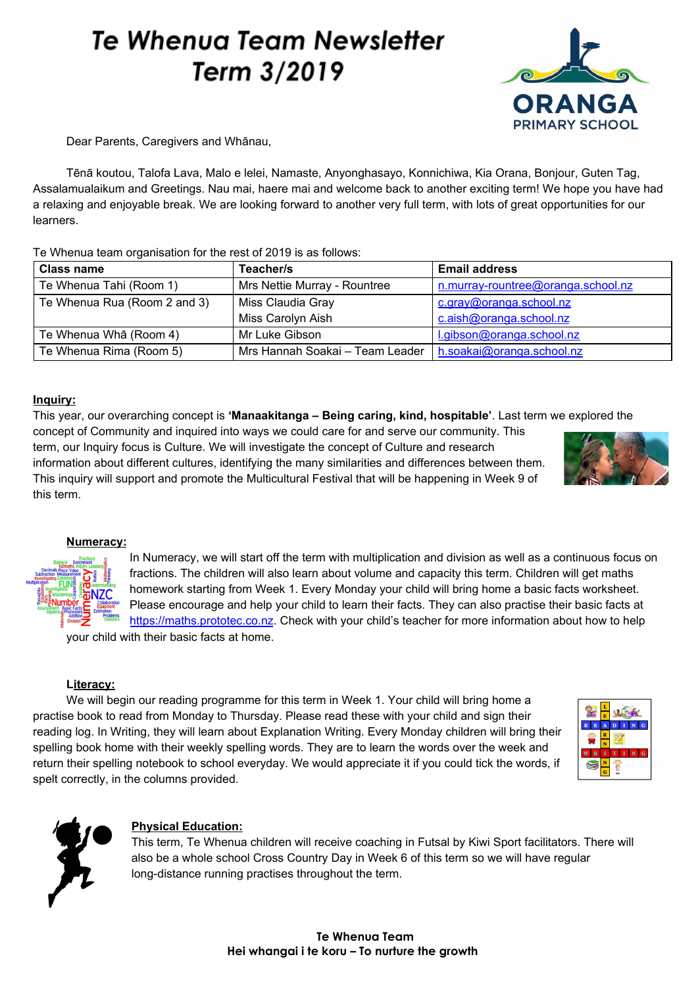# **Te Whenua Team Newsletter** Term 3/2019



Dear Parents, Caregivers and Whānau,

Tēnā koutou, Talofa Lava, Malo e lelei, Namaste, Anyonghasayo, Konnichiwa, Kia Orana, Bonjour, Guten Tag, Assalamualaikum and Greetings. Nau mai, haere mai and welcome back to another exciting term! We hope you have had a relaxing and enjoyable break. We are looking forward to another very full term, with lots of great opportunities for our learners.

Te Whenua team organisation for the rest of 2019 is as follows:

| <b>Class name</b>            | Teacher/s                                                   | <b>Email address</b>               |
|------------------------------|-------------------------------------------------------------|------------------------------------|
| Te Whenua Tahi (Room 1)      | Mrs Nettie Murray - Rountree                                | n.murray-rountree@oranga.school.nz |
| Te Whenua Rua (Room 2 and 3) | Miss Claudia Gray                                           | c.gray@oranga.school.nz            |
|                              | Miss Carolyn Aish                                           | c.aish@oranga.school.nz            |
| Te Whenua Wha (Room 4)       | Mr Luke Gibson                                              | l.gibson@oranga.school.nz          |
| Te Whenua Rima (Room 5)      | Mrs Hannah Soakai – Team Leader   h.soakai@oranga.school.nz |                                    |

## **Inquiry:**

This year, our overarching concept is **'Manaakitanga – Being caring, kind, hospitable'**. Last term we explored the concept of Community and inquired into ways we could care for and serve our community. This term, our Inquiry focus is Culture. We will investigate the concept of Culture and research information about different cultures, identifying the many similarities and differences between them. This inquiry will support and promote the Multicultural Festival that will be happening in Week 9 of this term.



### **Numeracy:**

In Numeracy, we will start off the term with multiplication and division as well as a continuous focus on fractions. The children will also learn about volume and capacity this term. Children will get maths homework starting from Week 1. Every Monday your child will bring home a basic facts worksheet. Please encourage and help your child to learn their facts. They can also practise their basic facts at [https://maths.prototec.co.nz](https://maths.prototec.co.nz/). Check with your child's teacher for more information about how to help

your child with their basic facts at home.

## **Literacy:**

We will begin our reading programme for this term in Week 1. Your child will bring home a practise book to read from Monday to Thursday. Please read these with your child and sign their reading log. In Writing, they will learn about Explanation Writing. Every Monday children will bring their spelling book home with their weekly spelling words. They are to learn the words over the week and return their spelling notebook to school everyday. We would appreciate it if you could tick the words, if spelt correctly, in the columns provided.





## **Physical Education:**

This term, Te Whenua children will receive coaching in Futsal by Kiwi Sport facilitators. There will also be a whole school Cross Country Day in Week 6 of this term so we will have regular long-distance running practises throughout the term.